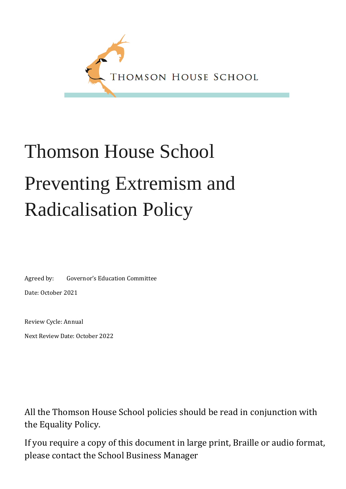

# Thomson House School Preventing Extremism and Radicalisation Policy

Agreed by: Governor's Education Committee

Date: October 2021

Review Cycle: Annual

Next Review Date: October 2022

All the Thomson House School policies should be read in conjunction with the Equality Policy.

If you require a copy of this document in large print, Braille or audio format, please contact the School Business Manager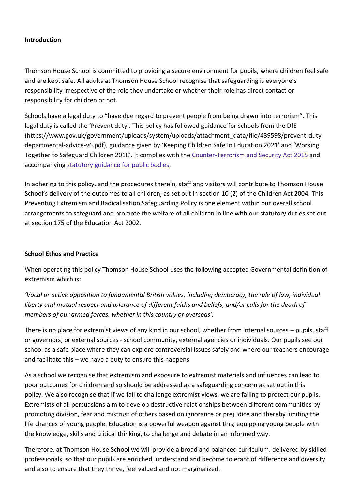#### **Introduction**

Thomson House School is committed to providing a secure environment for pupils, where children feel safe and are kept safe. All adults at Thomson House School recognise that safeguarding is everyone's responsibility irrespective of the role they undertake or whether their role has direct contact or responsibility for children or not.

Schools have a legal duty to "have due regard to prevent people from being drawn into terrorism". This legal duty is called the 'Prevent duty'. This policy has followed guidance for schools from the DfE (https://www.gov.uk/government/uploads/system/uploads/attachment\_data/file/439598/prevent-dutydepartmental-advice-v6.pdf), guidance given by 'Keeping Children Safe In Education 2021' and 'Working Together to Safeguard Children 2018'. It complies with the [Counter-Terrorism](http://www.legislation.gov.uk/ukpga/2015/6/contents/enacted) and Security Act 2015 and accompanying [statutory](https://www.gov.uk/government/publications/prevent-duty-guidance) guidance for public bodies.

In adhering to this policy, and the procedures therein, staff and visitors will contribute to Thomson House School's delivery of the outcomes to all children, as set out in section 10 (2) of the Children Act 2004. This Preventing Extremism and Radicalisation Safeguarding Policy is one element within our overall school arrangements to safeguard and promote the welfare of all children in line with our statutory duties set out at section 175 of the Education Act 2002.

#### **School Ethos and Practice**

When operating this policy Thomson House School uses the following accepted Governmental definition of extremism which is:

*'Vocal or active opposition to fundamental British values, including democracy, the rule of law, individual liberty and mutual respect and tolerance of different faiths and beliefs; and/or calls for the death of members of our armed forces, whether in this country or overseas'.* 

There is no place for extremist views of any kind in our school, whether from internal sources – pupils, staff or governors, or external sources - school community, external agencies or individuals. Our pupils see our school as a safe place where they can explore controversial issues safely and where our teachers encourage and facilitate this – we have a duty to ensure this happens.

As a school we recognise that extremism and exposure to extremist materials and influences can lead to poor outcomes for children and so should be addressed as a safeguarding concern as set out in this policy. We also recognise that if we fail to challenge extremist views, we are failing to protect our pupils. Extremists of all persuasions aim to develop destructive relationships between different communities by promoting division, fear and mistrust of others based on ignorance or prejudice and thereby limiting the life chances of young people. Education is a powerful weapon against this; equipping young people with the knowledge, skills and critical thinking, to challenge and debate in an informed way.

Therefore, at Thomson House School we will provide a broad and balanced curriculum, delivered by skilled professionals, so that our pupils are enriched, understand and become tolerant of difference and diversity and also to ensure that they thrive, feel valued and not marginalized.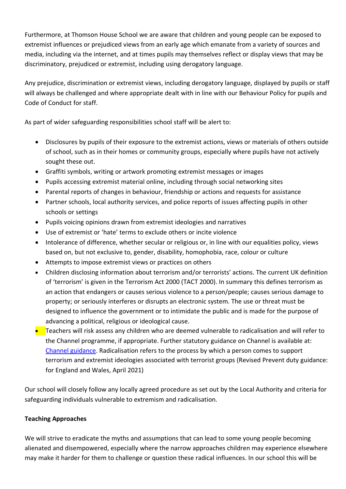Furthermore, at Thomson House School we are aware that children and young people can be exposed to extremist influences or prejudiced views from an early age which emanate from a variety of sources and media, including via the internet, and at times pupils may themselves reflect or display views that may be discriminatory, prejudiced or extremist, including using derogatory language.

Any prejudice, discrimination or extremist views, including derogatory language, displayed by pupils or staff will always be challenged and where appropriate dealt with in line with our Behaviour Policy for pupils and Code of Conduct for staff.

As part of wider safeguarding responsibilities school staff will be alert to:

- Disclosures by pupils of their exposure to the extremist actions, views or materials of others outside of school, such as in their homes or community groups, especially where pupils have not actively sought these out.
- Graffiti symbols, writing or artwork promoting extremist messages or images
- Pupils accessing extremist material online, including through social networking sites
- Parental reports of changes in behaviour, friendship or actions and requests for assistance
- Partner schools, local authority services, and police reports of issues affecting pupils in other schools or settings
- Pupils voicing opinions drawn from extremist ideologies and narratives
- Use of extremist or 'hate' terms to exclude others or incite violence
- Intolerance of difference, whether secular or religious or, in line with our equalities policy, views based on, but not exclusive to, gender, disability, homophobia, race, colour or culture
- Attempts to impose extremist views or practices on others
- Children disclosing information about terrorism and/or terrorists' actions. The current UK definition of 'terrorism' is given in the Terrorism Act 2000 (TACT 2000). In summary this defines terrorism as an action that endangers or causes serious violence to a person/people; causes serious damage to property; or seriously interferes or disrupts an electronic system. The use or threat must be designed to influence the government or to intimidate the public and is made for the purpose of advancing a political, religious or ideological cause.
- Teachers will risk assess any children who are deemed vulnerable to radicalisation and will refer to the Channel programme, if appropriate. Further statutory guidance on Channel is available at: Channel [guidance.](https://www.gov.uk/government/publications/channel-and-prevent-multi-agency-panel-pmap-guidance) Radicalisation refers to the process by which a person comes to support terrorism and extremist ideologies associated with terrorist groups (Revised Prevent duty guidance: for England and Wales, April 2021)

Our school will closely follow any locally agreed procedure as set out by the Local Authority and criteria for safeguarding individuals vulnerable to extremism and radicalisation.

# **Teaching Approaches**

We will strive to eradicate the myths and assumptions that can lead to some young people becoming alienated and disempowered, especially where the narrow approaches children may experience elsewhere may make it harder for them to challenge or question these radical influences. In our school this will be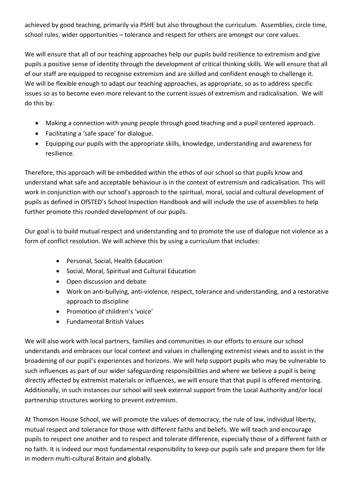achieved by good teaching, primarily via PSHE but also throughout the curriculum. Assemblies, circle time, school rules, wider opportunities – tolerance and respect for others are amongst our core values.

We will ensure that all of our teaching approaches help our pupils build resilience to extremism and give pupils a positive sense of identity through the development of critical thinking skills. We will ensure that all of our staff are equipped to recognise extremism and are skilled and confident enough to challenge it. We will be flexible enough to adapt our teaching approaches, as appropriate, so as to address specific issues so as to become even more relevant to the current issues of extremism and radicalisation. We will do this by:

- Making a connection with young people through good teaching and a pupil centered approach.
- Facilitating a 'safe space' for dialogue.
- Equipping our pupils with the appropriate skills, knowledge, understanding and awareness for resilience.

Therefore, this approach will be embedded within the ethos of our school so that pupils know and understand what safe and acceptable behaviour is in the context of extremism and radicalisation. This will work in conjunction with our school's approach to the spiritual, moral, social and cultural development of pupils as defined in OfSTED's School Inspection Handbook and will include the use of assemblies to help further promote this rounded development of our pupils.

Our goal is to build mutual respect and understanding and to promote the use of dialogue not violence as a form of conflict resolution. We will achieve this by using a curriculum that includes:

- Personal, Social, Health Education
- Social, Moral, Spiritual and Cultural Education
- Open discussion and debate
- Work on anti-bullying, anti-violence, respect, tolerance and understanding, and a restorative approach to discipline
- Promotion of children's 'voice'
- Fundamental British Values

We will also work with local partners, families and communities in our efforts to ensure our school understands and embraces our local context and values in challenging extremist views and to assist in the broadening of our pupil's experiences and horizons. We will help support pupils who may be vulnerable to such influences as part of our wider safeguarding responsibilities and where we believe a pupil is being directly affected by extremist materials or influences, we will ensure that that pupil is offered mentoring. Additionally, in such instances our school will seek external support from the Local Authority and/or local partnership structures working to prevent extremism.

At Thomson House School, we will promote the values of democracy, the rule of law, individual liberty, mutual respect and tolerance for those with different faiths and beliefs. We will teach and encourage pupils to respect one another and to respect and tolerate difference, especially those of a different faith or no faith. It is indeed our most fundamental responsibility to keep our pupils safe and prepare them for life in modern multi-cultural Britain and globally.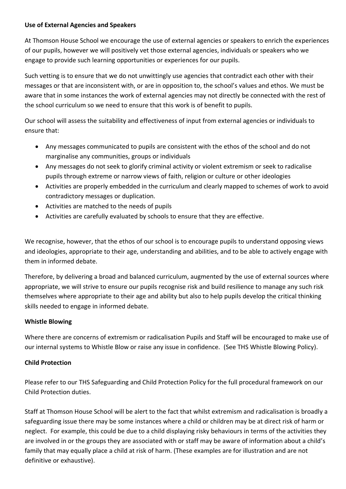#### **Use of External Agencies and Speakers**

At Thomson House School we encourage the use of external agencies or speakers to enrich the experiences of our pupils, however we will positively vet those external agencies, individuals or speakers who we engage to provide such learning opportunities or experiences for our pupils.

Such vetting is to ensure that we do not unwittingly use agencies that contradict each other with their messages or that are inconsistent with, or are in opposition to, the school's values and ethos. We must be aware that in some instances the work of external agencies may not directly be connected with the rest of the school curriculum so we need to ensure that this work is of benefit to pupils.

Our school will assess the suitability and effectiveness of input from external agencies or individuals to ensure that:

- Any messages communicated to pupils are consistent with the ethos of the school and do not marginalise any communities, groups or individuals
- Any messages do not seek to glorify criminal activity or violent extremism or seek to radicalise pupils through extreme or narrow views of faith, religion or culture or other ideologies
- Activities are properly embedded in the curriculum and clearly mapped to schemes of work to avoid contradictory messages or duplication.
- Activities are matched to the needs of pupils
- Activities are carefully evaluated by schools to ensure that they are effective.

We recognise, however, that the ethos of our school is to encourage pupils to understand opposing views and ideologies, appropriate to their age, understanding and abilities, and to be able to actively engage with them in informed debate.

Therefore, by delivering a broad and balanced curriculum, augmented by the use of external sources where appropriate, we will strive to ensure our pupils recognise risk and build resilience to manage any such risk themselves where appropriate to their age and ability but also to help pupils develop the critical thinking skills needed to engage in informed debate.

# **Whistle Blowing**

Where there are concerns of extremism or radicalisation Pupils and Staff will be encouraged to make use of our internal systems to Whistle Blow or raise any issue in confidence. (See THS Whistle Blowing Policy).

#### **Child Protection**

Please refer to our THS Safeguarding and Child Protection Policy for the full procedural framework on our Child Protection duties.

Staff at Thomson House School will be alert to the fact that whilst extremism and radicalisation is broadly a safeguarding issue there may be some instances where a child or children may be at direct risk of harm or neglect. For example, this could be due to a child displaying risky behaviours in terms of the activities they are involved in or the groups they are associated with or staff may be aware of information about a child's family that may equally place a child at risk of harm. (These examples are for illustration and are not definitive or exhaustive).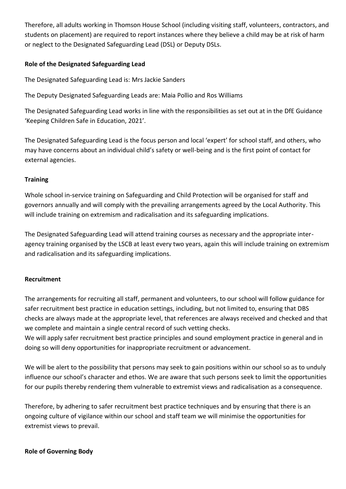Therefore, all adults working in Thomson House School (including visiting staff, volunteers, contractors, and students on placement) are required to report instances where they believe a child may be at risk of harm or neglect to the Designated Safeguarding Lead (DSL) or Deputy DSLs.

## **Role of the Designated Safeguarding Lead**

The Designated Safeguarding Lead is: Mrs Jackie Sanders

The Deputy Designated Safeguarding Leads are: Maia Pollio and Ros Williams

The Designated Safeguarding Lead works in line with the responsibilities as set out at in the DfE Guidance 'Keeping Children Safe in Education, 2021'.

The Designated Safeguarding Lead is the focus person and local 'expert' for school staff, and others, who may have concerns about an individual child's safety or well-being and is the first point of contact for external agencies.

## **Training**

Whole school in-service training on Safeguarding and Child Protection will be organised for staff and governors annually and will comply with the prevailing arrangements agreed by the Local Authority. This will include training on extremism and radicalisation and its safeguarding implications.

The Designated Safeguarding Lead will attend training courses as necessary and the appropriate interagency training organised by the LSCB at least every two years, again this will include training on extremism and radicalisation and its safeguarding implications.

#### **Recruitment**

The arrangements for recruiting all staff, permanent and volunteers, to our school will follow guidance for safer recruitment best practice in education settings, including, but not limited to, ensuring that DBS checks are always made at the appropriate level, that references are always received and checked and that we complete and maintain a single central record of such vetting checks.

We will apply safer recruitment best practice principles and sound employment practice in general and in doing so will deny opportunities for inappropriate recruitment or advancement.

We will be alert to the possibility that persons may seek to gain positions within our school so as to unduly influence our school's character and ethos. We are aware that such persons seek to limit the opportunities for our pupils thereby rendering them vulnerable to extremist views and radicalisation as a consequence.

Therefore, by adhering to safer recruitment best practice techniques and by ensuring that there is an ongoing culture of vigilance within our school and staff team we will minimise the opportunities for extremist views to prevail.

#### **Role of Governing Body**